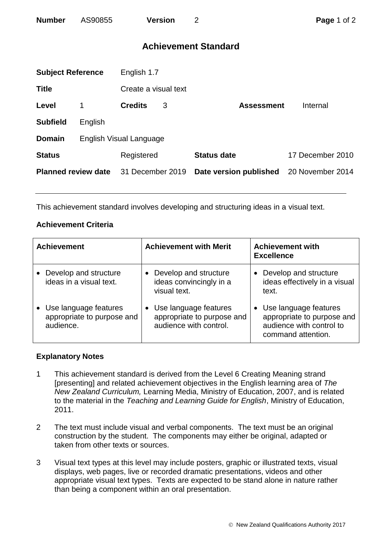# **Achievement Standard**

| <b>Subject Reference</b>   |                         | English 1.7          |   |                        |                  |  |  |
|----------------------------|-------------------------|----------------------|---|------------------------|------------------|--|--|
| <b>Title</b>               |                         | Create a visual text |   |                        |                  |  |  |
| Level                      | 1                       | <b>Credits</b>       | 3 | <b>Assessment</b>      | Internal         |  |  |
| <b>Subfield</b>            | English                 |                      |   |                        |                  |  |  |
| <b>Domain</b>              | English Visual Language |                      |   |                        |                  |  |  |
| <b>Status</b>              |                         | Registered           |   | <b>Status date</b>     | 17 December 2010 |  |  |
| <b>Planned review date</b> |                         | 31 December 2019     |   | Date version published | 20 November 2014 |  |  |
|                            |                         |                      |   |                        |                  |  |  |

This achievement standard involves developing and structuring ideas in a visual text.

## **Achievement Criteria**

| <b>Achievement</b>                                               | <b>Achievement with Merit</b>                                                 | <b>Achievement with</b><br><b>Excellence</b>                                                          |
|------------------------------------------------------------------|-------------------------------------------------------------------------------|-------------------------------------------------------------------------------------------------------|
| Develop and structure<br>ideas in a visual text.                 | Develop and structure<br>ideas convincingly in a<br>visual text.              | Develop and structure<br>ideas effectively in a visual<br>text.                                       |
| Use language features<br>appropriate to purpose and<br>audience. | Use language features<br>appropriate to purpose and<br>audience with control. | Use language features<br>appropriate to purpose and<br>audience with control to<br>command attention. |

### **Explanatory Notes**

- 1 This achievement standard is derived from the Level 6 Creating Meaning strand [presenting] and related achievement objectives in the English learning area of *The New Zealand Curriculum,* Learning Media, Ministry of Education, 2007, and is related to the material in the *Teaching and Learning Guide for English*, Ministry of Education, 2011.
- 2 The text must include visual and verbal components. The text must be an original construction by the student. The components may either be original, adapted or taken from other texts or sources.
- 3 Visual text types at this level may include posters, graphic or illustrated texts, visual displays, web pages, live or recorded dramatic presentations, videos and other appropriate visual text types. Texts are expected to be stand alone in nature rather than being a component within an oral presentation.